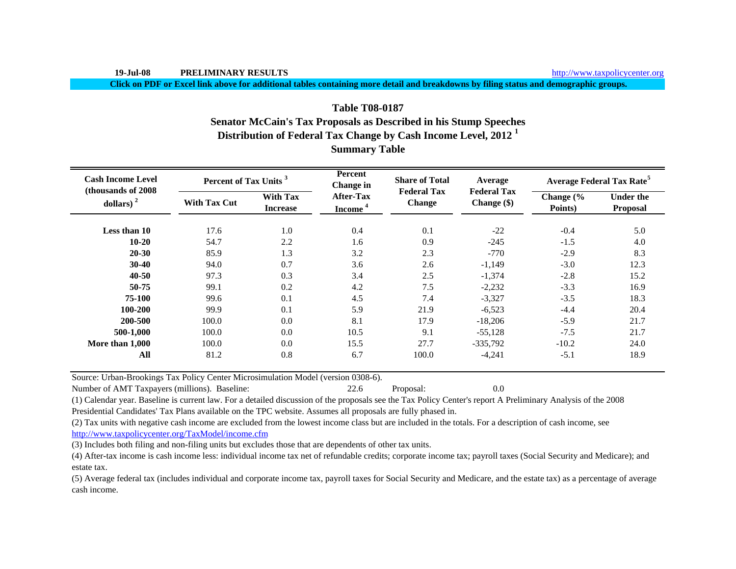**Click on PDF or Excel link above for additional tables containing more detail and breakdowns by filing status and demographic groups.**

# **Table T08-0187Senator McCain's Tax Proposals as Described in his Stump Speeches Distribution of Federal Tax Change by Cash Income Level, 2012 <sup>1</sup> Summary Table**

| <b>Cash Income Level</b><br>(thousands of 2008) | Percent of Tax Units <sup>3</sup> |                                    | <b>Percent</b><br><b>Change</b> in      | <b>Share of Total</b><br><b>Federal Tax</b> | Average                             |                      | <b>Average Federal Tax Rate<sup>5</sup></b> |
|-------------------------------------------------|-----------------------------------|------------------------------------|-----------------------------------------|---------------------------------------------|-------------------------------------|----------------------|---------------------------------------------|
| dollars) $2$                                    | <b>With Tax Cut</b>               | <b>With Tax</b><br><b>Increase</b> | <b>After-Tax</b><br>Income <sup>4</sup> | <b>Change</b>                               | <b>Federal Tax</b><br>Change $(\$)$ | Change (%<br>Points) | <b>Under the</b><br><b>Proposal</b>         |
| Less than 10                                    | 17.6                              | 1.0                                | 0.4                                     | 0.1                                         | $-22$                               | $-0.4$               | 5.0                                         |
| $10-20$                                         | 54.7                              | 2.2                                | 1.6                                     | 0.9                                         | $-245$                              | $-1.5$               | 4.0                                         |
| $20 - 30$                                       | 85.9                              | 1.3                                | 3.2                                     | 2.3                                         | $-770$                              | $-2.9$               | 8.3                                         |
| $30-40$                                         | 94.0                              | 0.7                                | 3.6                                     | 2.6                                         | $-1,149$                            | $-3.0$               | 12.3                                        |
| $40 - 50$                                       | 97.3                              | 0.3                                | 3.4                                     | 2.5                                         | $-1,374$                            | $-2.8$               | 15.2                                        |
| 50-75                                           | 99.1                              | 0.2                                | 4.2                                     | 7.5                                         | $-2,232$                            | $-3.3$               | 16.9                                        |
| 75-100                                          | 99.6                              | 0.1                                | 4.5                                     | 7.4                                         | $-3,327$                            | $-3.5$               | 18.3                                        |
| 100-200                                         | 99.9                              | 0.1                                | 5.9                                     | 21.9                                        | $-6,523$                            | $-4.4$               | 20.4                                        |
| 200-500                                         | 100.0                             | 0.0                                | 8.1                                     | 17.9                                        | $-18,206$                           | $-5.9$               | 21.7                                        |
| 500-1,000                                       | 100.0                             | 0.0                                | 10.5                                    | 9.1                                         | $-55,128$                           | $-7.5$               | 21.7                                        |
| More than 1,000                                 | 100.0                             | 0.0                                | 15.5                                    | 27.7                                        | $-335,792$                          | $-10.2$              | 24.0                                        |
| All                                             | 81.2                              | 0.8                                | 6.7                                     | 100.0                                       | $-4,241$                            | $-5.1$               | 18.9                                        |

Source: Urban-Brookings Tax Policy Center Microsimulation Model (version 0308-6).

Number of AMT Taxpayers (millions). Baseline: 22.6 Proposal: 0.0

(1) Calendar year. Baseline is current law. For a detailed discussion of the proposals see the Tax Policy Center's report A Preliminary Analysis of the 2008 Presidential Candidates' Tax Plans available on the TPC website. Assumes all proposals are fully phased in.

(2) Tax units with negative cash income are excluded from the lowest income class but are included in the totals. For a description of cash income, see

http://www.taxpolicycenter.org/TaxModel/income.cfm

(3) Includes both filing and non-filing units but excludes those that are dependents of other tax units.

(4) After-tax income is cash income less: individual income tax net of refundable credits; corporate income tax; payroll taxes (Social Security and Medicare); and estate tax.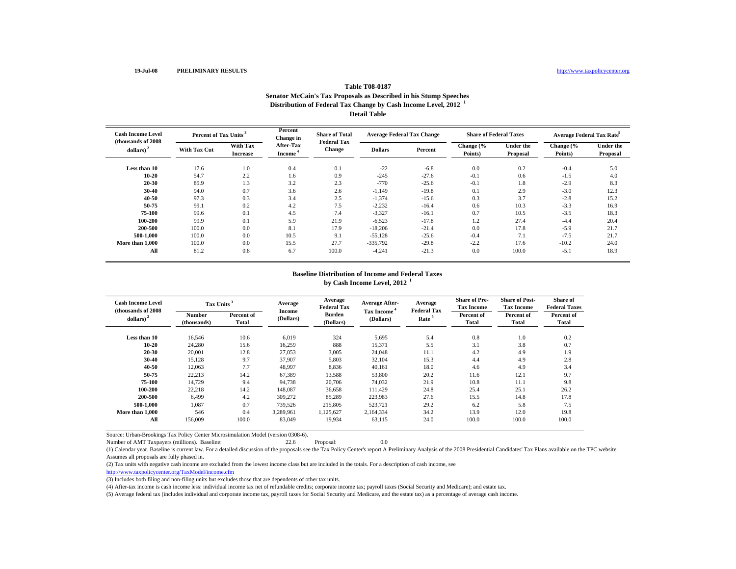#### **Table T08-0187 Senator McCain's Tax Proposals as Described in his Stump Speeches Distribution of Federal Tax Change by Cash Income Level, 2012 <sup>1</sup> Detail Table**

| <b>Cash Income Level</b><br>(thousands of 2008) | Percent of Tax Units |                             | Percent<br>Change in             | <b>Share of Total</b><br><b>Federal Tax</b> | <b>Average Federal Tax Change</b> |         | <b>Share of Federal Taxes</b> |                              | Average Federal Tax Rate |                              |
|-------------------------------------------------|----------------------|-----------------------------|----------------------------------|---------------------------------------------|-----------------------------------|---------|-------------------------------|------------------------------|--------------------------|------------------------------|
| dollars) <sup>2</sup>                           | <b>With Tax Cut</b>  | With Tax<br><b>Increase</b> | After-Tax<br>Income <sup>4</sup> | <b>Change</b>                               | <b>Dollars</b>                    | Percent | Change (%<br>Points)          | <b>Under the</b><br>Proposal | Change (%<br>Points)     | <b>Under the</b><br>Proposal |
| Less than 10                                    | 17.6                 | 1.0                         | 0.4                              | 0.1                                         | $-22$                             | $-6.8$  | 0.0                           | 0.2                          | $-0.4$                   | 5.0                          |
| $10 - 20$                                       | 54.7                 | 2.2                         | 1.6                              | 0.9                                         | $-245$                            | $-27.6$ | $-0.1$                        | 0.6                          | $-1.5$                   | 4.0                          |
| $20 - 30$                                       | 85.9                 | 1.3                         | 3.2                              | 2.3                                         | $-770$                            | $-25.6$ | $-0.1$                        | 1.8                          | $-2.9$                   | 8.3                          |
| $30 - 40$                                       | 94.0                 | 0.7                         | 3.6                              | 2.6                                         | $-1,149$                          | $-19.8$ | 0.1                           | 2.9                          | $-3.0$                   | 12.3                         |
| $40 - 50$                                       | 97.3                 | 0.3                         | 3.4                              | 2.5                                         | $-1,374$                          | $-15.6$ | 0.3                           | 3.7                          | $-2.8$                   | 15.2                         |
| 50-75                                           | 99.1                 | 0.2                         | 4.2                              | 7.5                                         | $-2,232$                          | $-16.4$ | 0.6                           | 10.3                         | $-3.3$                   | 16.9                         |
| 75-100                                          | 99.6                 | 0.1                         | 4.5                              | 7.4                                         | $-3,327$                          | $-16.1$ | 0.7                           | 10.5                         | $-3.5$                   | 18.3                         |
| 100-200                                         | 99.9                 | 0.1                         | 5.9                              | 21.9                                        | $-6,523$                          | $-17.8$ | 1.2                           | 27.4                         | $-4.4$                   | 20.4                         |
| 200-500                                         | 100.0                | 0.0                         | 8.1                              | 17.9                                        | $-18,206$                         | $-21.4$ | 0.0                           | 17.8                         | $-5.9$                   | 21.7                         |
| 500-1.000                                       | 100.0                | 0.0                         | 10.5                             | 9.1                                         | $-55,128$                         | $-25.6$ | $-0.4$                        | 7.1                          | $-7.5$                   | 21.7                         |
| More than 1,000                                 | 100.0                | 0.0                         | 15.5                             | 27.7                                        | $-335,792$                        | $-29.8$ | $-2.2$                        | 17.6                         | $-10.2$                  | 24.0                         |
| All                                             | 81.2                 | 0.8                         | 6.7                              | 100.0                                       | $-4,241$                          | $-21.3$ | 0.0                           | 100.0                        | $-5.1$                   | 18.9                         |

# **Baseline Distribution of Income and Federal Taxesby Cash Income Level, 2012 <sup>1</sup>**

| <b>Cash Income Level</b><br>(thousands of 2008) | Tax Units <sup>3</sup>       |                     | Average             | Average<br><b>Federal Tax</b> | <b>Average After-</b>   | Average<br><b>Federal Tax</b> | <b>Share of Pre-</b><br><b>Tax Income</b> | <b>Share of Post-</b><br><b>Tax Income</b> | <b>Share of</b><br><b>Federal Taxes</b> |
|-------------------------------------------------|------------------------------|---------------------|---------------------|-------------------------------|-------------------------|-------------------------------|-------------------------------------------|--------------------------------------------|-----------------------------------------|
| dollars) $2$                                    | <b>Number</b><br>(thousands) | Percent of<br>Total | Income<br>(Dollars) | <b>Burden</b><br>(Dollars)    | Tax Income<br>(Dollars) | Rate <sup>5</sup>             | Percent of<br><b>Total</b>                | Percent of<br>Total                        | Percent of<br>Total                     |
| Less than 10                                    | 16,546                       | 10.6                | 6,019               | 324                           | 5,695                   | 5.4                           | 0.8                                       | 1.0                                        | 0.2                                     |
| $10 - 20$                                       | 24,280                       | 15.6                | 16,259              | 888                           | 15,371                  | 5.5                           | 3.1                                       | 3.8                                        | 0.7                                     |
| 20-30                                           | 20,001                       | 12.8                | 27,053              | 3,005                         | 24,048                  | 11.1                          | 4.2                                       | 4.9                                        | 1.9                                     |
| 30-40                                           | 15,128                       | 9.7                 | 37.907              | 5,803                         | 32,104                  | 15.3                          | 4.4                                       | 4.9                                        | 2.8                                     |
| 40-50                                           | 12,063                       | 7.7                 | 48,997              | 8,836                         | 40,161                  | 18.0                          | 4.6                                       | 4.9                                        | 3.4                                     |
| 50-75                                           | 22,213                       | 14.2                | 67,389              | 13,588                        | 53,800                  | 20.2                          | 11.6                                      | 12.1                                       | 9.7                                     |
| 75-100                                          | 14,729                       | 9.4                 | 94,738              | 20,706                        | 74,032                  | 21.9                          | 10.8                                      | 11.1                                       | 9.8                                     |
| 100-200                                         | 22,218                       | 14.2                | 148,087             | 36,658                        | 111.429                 | 24.8                          | 25.4                                      | 25.1                                       | 26.2                                    |
| 200-500                                         | 6.499                        | 4.2                 | 309,272             | 85.289                        | 223,983                 | 27.6                          | 15.5                                      | 14.8                                       | 17.8                                    |
| 500-1.000                                       | 1.087                        | 0.7                 | 739,526             | 215,805                       | 523.721                 | 29.2                          | 6.2                                       | 5.8                                        | 7.5                                     |
| More than 1.000                                 | 546                          | 0.4                 | 3.289.961           | 1,125,627                     | 2.164.334               | 34.2                          | 13.9                                      | 12.0                                       | 19.8                                    |
| All                                             | 156,009                      | 100.0               | 83,049              | 19,934                        | 63,115                  | 24.0                          | 100.0                                     | 100.0                                      | 100.0                                   |

Source: Urban-Brookings Tax Policy Center Microsimulation Model (version 0308-6).

Number of AMT Taxpayers (millions). Baseline: 22.6 Proposal: 0.0

(1) Calendar year. Baseline is current law. For a detailed discussion of the proposals see the Tax Policy Center's report A Preliminary Analysis of the 2008 Presidential Candidates' Tax Plans available on the TPC website. Assumes all proposals are fully phased in.

(2) Tax units with negative cash income are excluded from the lowest income class but are included in the totals. For a description of cash income, see

http://www.taxpolicycenter.org/TaxModel/income.cfm

(3) Includes both filing and non-filing units but excludes those that are dependents of other tax units.

(4) After-tax income is cash income less: individual income tax net of refundable credits; corporate income tax; payroll taxes (Social Security and Medicare); and estate tax.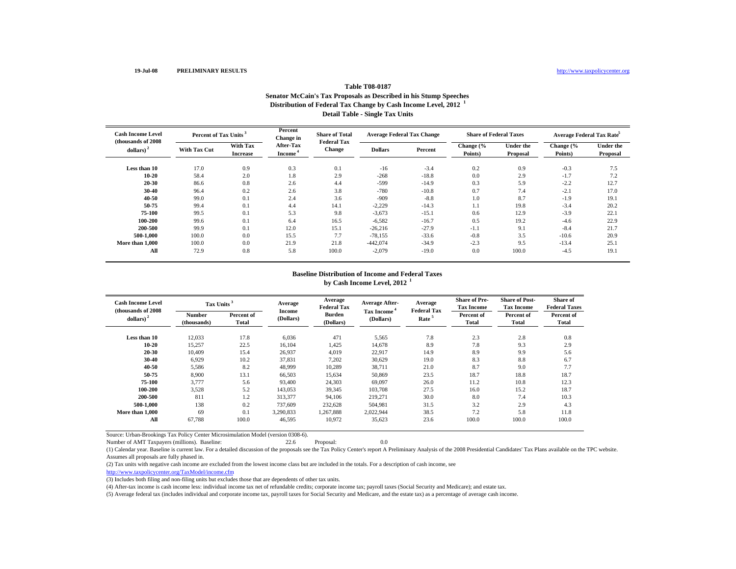#### **Table T08-0187 Senator McCain's Tax Proposals as Described in his Stump Speeches Distribution of Federal Tax Change by Cash Income Level, 2012 <sup>1</sup> Detail Table - Single Tax Units**

| <b>Cash Income Level</b><br>(thousands of 2008) | Percent of Tax Units |                             | Percent<br>Change in                    | <b>Share of Total</b><br><b>Federal Tax</b> | <b>Average Federal Tax Change</b> |         | <b>Share of Federal Taxes</b> |                              | Average Federal Tax Rate <sup>5</sup> |                              |
|-------------------------------------------------|----------------------|-----------------------------|-----------------------------------------|---------------------------------------------|-----------------------------------|---------|-------------------------------|------------------------------|---------------------------------------|------------------------------|
| dollars) <sup>2</sup>                           | <b>With Tax Cut</b>  | With Tax<br><b>Increase</b> | <b>After-Tax</b><br>Income <sup>4</sup> | <b>Change</b>                               | <b>Dollars</b>                    | Percent | Change (%<br>Points)          | <b>Under the</b><br>Proposal | Change (%<br>Points)                  | <b>Under the</b><br>Proposal |
| Less than 10                                    | 17.0                 | 0.9                         | 0.3                                     | 0.1                                         | $-16$                             | $-3.4$  | 0.2                           | 0.9                          | $-0.3$                                | 7.5                          |
| $10 - 20$                                       | 58.4                 | 2.0                         | 1.8                                     | 2.9                                         | $-268$                            | $-18.8$ | 0.0                           | 2.9                          | $-1.7$                                | 7.2                          |
| $20 - 30$                                       | 86.6                 | 0.8                         | 2.6                                     | 4.4                                         | $-599$                            | $-14.9$ | 0.3                           | 5.9                          | $-2.2$                                | 12.7                         |
| $30 - 40$                                       | 96.4                 | 0.2                         | 2.6                                     | 3.8                                         | $-780$                            | $-10.8$ | 0.7                           | 7.4                          | $-2.1$                                | 17.0                         |
| $40 - 50$                                       | 99.0                 | 0.1                         | 2.4                                     | 3.6                                         | $-909$                            | $-8.8$  | 1.0                           | 8.7                          | $-1.9$                                | 19.1                         |
| 50-75                                           | 99.4                 | 0.1                         | 4.4                                     | 14.1                                        | $-2,229$                          | $-14.3$ | 1.1                           | 19.8                         | $-3.4$                                | 20.2                         |
| 75-100                                          | 99.5                 | 0.1                         | 5.3                                     | 9.8                                         | $-3,673$                          | $-15.1$ | 0.6                           | 12.9                         | $-3.9$                                | 22.1                         |
| 100-200                                         | 99.6                 | 0.1                         | 6.4                                     | 16.5                                        | $-6,582$                          | $-16.7$ | 0.5                           | 19.2                         | $-4.6$                                | 22.9                         |
| 200-500                                         | 99.9                 | 0.1                         | 12.0                                    | 15.1                                        | $-26,216$                         | $-27.9$ | $-1.1$                        | 9.1                          | $-8.4$                                | 21.7                         |
| 500-1.000                                       | 100.0                | 0.0                         | 15.5                                    | 7.7                                         | $-78,155$                         | $-33.6$ | $-0.8$                        | 3.5                          | $-10.6$                               | 20.9                         |
| More than 1,000                                 | 100.0                | 0.0                         | 21.9                                    | 21.8                                        | $-442,074$                        | $-34.9$ | $-2.3$                        | 9.5                          | $-13.4$                               | 25.1                         |
| All                                             | 72.9                 | 0.8                         | 5.8                                     | 100.0                                       | $-2,079$                          | $-19.0$ | 0.0                           | 100.0                        | $-4.5$                                | 19.1                         |

# **Baseline Distribution of Income and Federal Taxesby Cash Income Level, 2012 <sup>1</sup>**

| <b>Cash Income Level</b><br>(thousands of 2008) | Tax Units <sup>3</sup>       |                     | Average             | Average<br><b>Federal Tax</b> | <b>Average After-</b>   | Average<br><b>Federal Tax</b> | <b>Share of Pre-</b><br><b>Tax Income</b> | <b>Share of Post-</b><br><b>Tax Income</b> | <b>Share of</b><br><b>Federal Taxes</b> |
|-------------------------------------------------|------------------------------|---------------------|---------------------|-------------------------------|-------------------------|-------------------------------|-------------------------------------------|--------------------------------------------|-----------------------------------------|
| $\leftdollars\right>$ <sup>2</sup>              | <b>Number</b><br>(thousands) | Percent of<br>Total | Income<br>(Dollars) | <b>Burden</b><br>(Dollars)    | Tax Income<br>(Dollars) | Rate <sup>5</sup>             | Percent of<br><b>Total</b>                | Percent of<br>Total                        | Percent of<br>Total                     |
| Less than 10                                    | 12,033                       | 17.8                | 6,036               | 471                           | 5,565                   | 7.8                           | 2.3                                       | 2.8                                        | 0.8                                     |
| $10 - 20$                                       | 15,257                       | 22.5                | 16.104              | 1,425                         | 14.678                  | 8.9                           | 7.8                                       | 9.3                                        | 2.9                                     |
| 20-30                                           | 10,409                       | 15.4                | 26,937              | 4,019                         | 22,917                  | 14.9                          | 8.9                                       | 9.9                                        | 5.6                                     |
| 30-40                                           | 6,929                        | 10.2                | 37,831              | 7,202                         | 30,629                  | 19.0                          | 8.3                                       | 8.8                                        | 6.7                                     |
| 40-50                                           | 5,586                        | 8.2                 | 48,999              | 10,289                        | 38,711                  | 21.0                          | 8.7                                       | 9.0                                        | 7.7                                     |
| 50-75                                           | 8,900                        | 13.1                | 66,503              | 15,634                        | 50,869                  | 23.5                          | 18.7                                      | 18.8                                       | 18.7                                    |
| 75-100                                          | 3,777                        | 5.6                 | 93,400              | 24,303                        | 69,097                  | 26.0                          | 11.2                                      | 10.8                                       | 12.3                                    |
| 100-200                                         | 3,528                        | 5.2                 | 143,053             | 39,345                        | 103,708                 | 27.5                          | 16.0                                      | 15.2                                       | 18.7                                    |
| 200-500                                         | 811                          | 1.2                 | 313.377             | 94.106                        | 219,271                 | 30.0                          | 8.0                                       | 7.4                                        | 10.3                                    |
| 500-1.000                                       | 138                          | 0.2                 | 737,609             | 232,628                       | 504.981                 | 31.5                          | 3.2                                       | 2.9                                        | 4.3                                     |
| More than 1.000                                 | 69                           | 0.1                 | 3.290.833           | 1,267,888                     | 2.022.944               | 38.5                          | 7.2                                       | 5.8                                        | 11.8                                    |
| All                                             | 67,788                       | 100.0               | 46,595              | 10,972                        | 35,623                  | 23.6                          | 100.0                                     | 100.0                                      | 100.0                                   |

Source: Urban-Brookings Tax Policy Center Microsimulation Model (version 0308-6).

Number of AMT Taxpayers (millions). Baseline: 22.6 Proposal: 0.0

(1) Calendar year. Baseline is current law. For a detailed discussion of the proposals see the Tax Policy Center's report A Preliminary Analysis of the 2008 Presidential Candidates' Tax Plans available on the TPC website. Assumes all proposals are fully phased in.

(2) Tax units with negative cash income are excluded from the lowest income class but are included in the totals. For a description of cash income, see

http://www.taxpolicycenter.org/TaxModel/income.cfm

(3) Includes both filing and non-filing units but excludes those that are dependents of other tax units.

(4) After-tax income is cash income less: individual income tax net of refundable credits; corporate income tax; payroll taxes (Social Security and Medicare); and estate tax.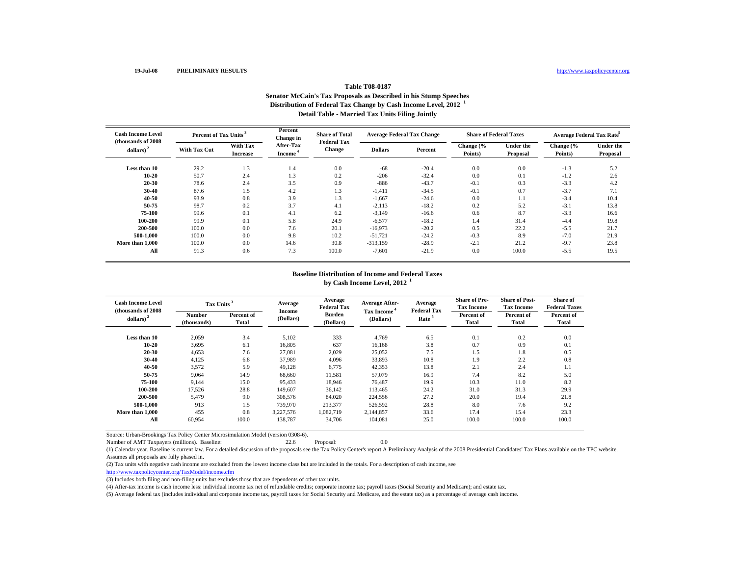#### **Table T08-0187 Senator McCain's Tax Proposals as Described in his Stump Speeches Distribution of Federal Tax Change by Cash Income Level, 2012 <sup>1</sup> Detail Table - Married Tax Units Filing Jointly**

| <b>Cash Income Level</b><br>(thousands of 2008) | Percent of Tax Units |                                    | Percent<br>Change in                    | <b>Share of Total</b><br><b>Federal Tax</b> | <b>Average Federal Tax Change</b> |         | <b>Share of Federal Taxes</b> |                              | <b>Average Federal Tax Rate</b> |                              |
|-------------------------------------------------|----------------------|------------------------------------|-----------------------------------------|---------------------------------------------|-----------------------------------|---------|-------------------------------|------------------------------|---------------------------------|------------------------------|
| dollars) <sup>2</sup>                           | <b>With Tax Cut</b>  | <b>With Tax</b><br><b>Increase</b> | <b>After-Tax</b><br>Income <sup>*</sup> | <b>Change</b>                               | <b>Dollars</b>                    | Percent | Change (%<br>Points)          | <b>Under the</b><br>Proposal | Change (%<br>Points)            | <b>Under the</b><br>Proposal |
| Less than 10                                    | 29.2                 | 1.3                                | 1.4                                     | 0.0                                         | $-68$                             | $-20.4$ | 0.0                           | 0.0                          | $-1.3$                          | 5.2                          |
| $10 - 20$                                       | 50.7                 | 2.4                                | 1.3                                     | 0.2                                         | $-206$                            | $-32.4$ | 0.0                           | 0.1                          | $-1.2$                          | 2.6                          |
| $20 - 30$                                       | 78.6                 | 2.4                                | 3.5                                     | 0.9                                         | $-886$                            | $-43.7$ | $-0.1$                        | 0.3                          | $-3.3$                          | 4.2                          |
| $30 - 40$                                       | 87.6                 | 1.5                                | 4.2                                     | 1.3                                         | $-1,411$                          | $-34.5$ | $-0.1$                        | 0.7                          | $-3.7$                          | 7.1                          |
| $40 - 50$                                       | 93.9                 | 0.8                                | 3.9                                     | 1.3                                         | $-1,667$                          | $-24.6$ | 0.0                           | 1.1                          | $-3.4$                          | 10.4                         |
| 50-75                                           | 98.7                 | 0.2                                | 3.7                                     | 4.1                                         | $-2,113$                          | $-18.2$ | 0.2                           | 5.2                          | $-3.1$                          | 13.8                         |
| 75-100                                          | 99.6                 | 0.1                                | 4.1                                     | 6.2                                         | $-3,149$                          | $-16.6$ | 0.6                           | 8.7                          | $-3.3$                          | 16.6                         |
| 100-200                                         | 99.9                 | 0.1                                | 5.8                                     | 24.9                                        | $-6,577$                          | $-18.2$ | 1.4                           | 31.4                         | $-4.4$                          | 19.8                         |
| 200-500                                         | 100.0                | 0.0                                | 7.6                                     | 20.1                                        | $-16,973$                         | $-20.2$ | 0.5                           | 22.2                         | $-5.5$                          | 21.7                         |
| 500-1.000                                       | 100.0                | 0.0                                | 9.8                                     | 10.2                                        | $-51,721$                         | $-24.2$ | $-0.3$                        | 8.9                          | $-7.0$                          | 21.9                         |
| More than 1,000                                 | 100.0                | 0.0                                | 14.6                                    | 30.8                                        | $-313,159$                        | $-28.9$ | $-2.1$                        | 21.2                         | $-9.7$                          | 23.8                         |
| All                                             | 91.3                 | 0.6                                | 7.3                                     | 100.0                                       | $-7,601$                          | $-21.9$ | 0.0                           | 100.0                        | $-5.5$                          | 19.5                         |

## **Baseline Distribution of Income and Federal Taxesby Cash Income Level, 2012 <sup>1</sup>**

| <b>Cash Income Level</b><br>(thousands of 2008) | Tax Units <sup>3</sup>       |                     | Average             | Average<br><b>Federal Tax</b> | <b>Average After-</b>   | Average<br><b>Federal Tax</b> | <b>Share of Pre-</b><br><b>Tax Income</b> | <b>Share of Post-</b><br><b>Tax Income</b> | <b>Share of</b><br><b>Federal Taxes</b> |
|-------------------------------------------------|------------------------------|---------------------|---------------------|-------------------------------|-------------------------|-------------------------------|-------------------------------------------|--------------------------------------------|-----------------------------------------|
| dollars) $2$                                    | <b>Number</b><br>(thousands) | Percent of<br>Total | Income<br>(Dollars) | <b>Burden</b><br>(Dollars)    | Tax Income<br>(Dollars) | Rate <sup>5</sup>             | Percent of<br><b>Total</b>                | Percent of<br>Total                        | Percent of<br>Total                     |
| Less than 10                                    | 2,059                        | 3.4                 | 5,102               | 333                           | 4,769                   | 6.5                           | 0.1                                       | 0.2                                        | 0.0                                     |
| $10 - 20$                                       | 3,695                        | 6.1                 | 16,805              | 637                           | 16.168                  | 3.8                           | 0.7                                       | 0.9                                        | 0.1                                     |
| 20-30                                           | 4,653                        | 7.6                 | 27,081              | 2,029                         | 25,052                  | 7.5                           | 1.5                                       | 1.8                                        | 0.5                                     |
| 30-40                                           | 4,125                        | 6.8                 | 37,989              | 4,096                         | 33,893                  | 10.8                          | 1.9                                       | 2.2                                        | 0.8                                     |
| 40-50                                           | 3,572                        | 5.9                 | 49,128              | 6,775                         | 42,353                  | 13.8                          | 2.1                                       | 2.4                                        | 1.1                                     |
| 50-75                                           | 9.064                        | 14.9                | 68,660              | 11,581                        | 57,079                  | 16.9                          | 7.4                                       | 8.2                                        | 5.0                                     |
| 75-100                                          | 9,144                        | 15.0                | 95,433              | 18,946                        | 76.487                  | 19.9                          | 10.3                                      | 11.0                                       | 8.2                                     |
| 100-200                                         | 17,526                       | 28.8                | 149,607             | 36,142                        | 113,465                 | 24.2                          | 31.0                                      | 31.3                                       | 29.9                                    |
| 200-500                                         | 5.479                        | 9.0                 | 308,576             | 84,020                        | 224,556                 | 27.2                          | 20.0                                      | 19.4                                       | 21.8                                    |
| 500-1.000                                       | 913                          | 1.5                 | 739,970             | 213,377                       | 526,592                 | 28.8                          | 8.0                                       | 7.6                                        | 9.2                                     |
| More than 1.000                                 | 455                          | 0.8                 | 3.227.576           | 1.082.719                     | 2.144.857               | 33.6                          | 17.4                                      | 15.4                                       | 23.3                                    |
| All                                             | 60,954                       | 100.0               | 138,787             | 34,706                        | 104,081                 | 25.0                          | 100.0                                     | 100.0                                      | 100.0                                   |

Source: Urban-Brookings Tax Policy Center Microsimulation Model (version 0308-6).

Number of AMT Taxpayers (millions). Baseline: 22.6 Proposal: 0.0

(1) Calendar year. Baseline is current law. For a detailed discussion of the proposals see the Tax Policy Center's report A Preliminary Analysis of the 2008 Presidential Candidates' Tax Plans available on the TPC website. Assumes all proposals are fully phased in.

(2) Tax units with negative cash income are excluded from the lowest income class but are included in the totals. For a description of cash income, see

http://www.taxpolicycenter.org/TaxModel/income.cfm

(3) Includes both filing and non-filing units but excludes those that are dependents of other tax units.

(4) After-tax income is cash income less: individual income tax net of refundable credits; corporate income tax; payroll taxes (Social Security and Medicare); and estate tax.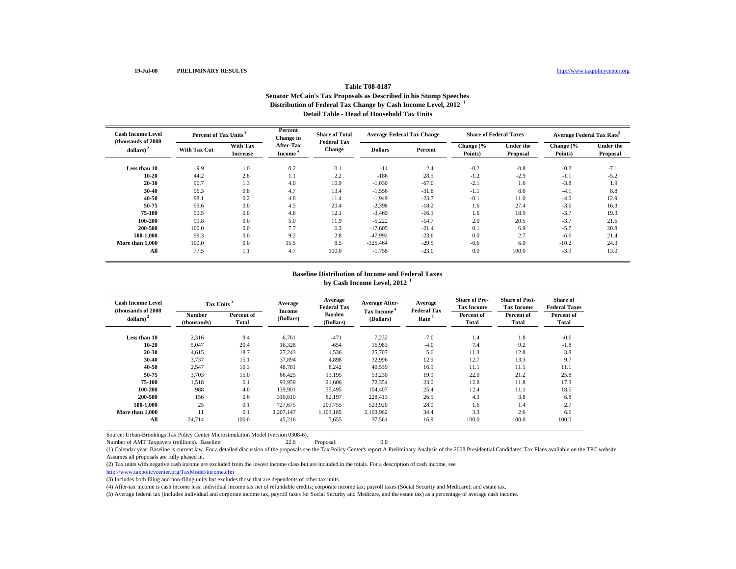# **Table T08-0187 Senator McCain's Tax Proposals as Described in his Stump Speeches Distribution of Federal Tax Change by Cash Income Level, 2012 <sup>1</sup> Detail Table - Head of Household Tax Units**

| <b>Cash Income Level</b><br>(thousands of 2008) | Percent of Tax Units                               |                                                          | Percent<br>Change in | <b>Share of Total</b><br><b>Federal Tax</b> | <b>Average Federal Tax Change</b> |                              | <b>Share of Federal Taxes</b> |                              | Average Federal Tax Rate |        |
|-------------------------------------------------|----------------------------------------------------|----------------------------------------------------------|----------------------|---------------------------------------------|-----------------------------------|------------------------------|-------------------------------|------------------------------|--------------------------|--------|
| dollars) <sup>2</sup>                           | With Tax<br><b>With Tax Cut</b><br><b>Increase</b> | <b>After-Tax</b><br><b>Change</b><br>Income <sup>4</sup> | <b>Dollars</b>       | Percent                                     | Change (%<br>Points)              | <b>Under the</b><br>Proposal | Change (%<br>Points)          | <b>Under the</b><br>Proposal |                          |        |
| Less than 10                                    | 9.9                                                | 1.0                                                      | 0.2                  | 0.1                                         | $-11$                             | 2.4                          | $-0.2$                        | $-0.8$                       | $-0.2$                   | $-7.1$ |
| $10 - 20$                                       | 44.2                                               | 2.8                                                      | 1.1                  | 2.2                                         | $-186$                            | 28.5                         | $-1.2$                        | $-2.9$                       | $-1.1$                   | $-5.2$ |
| 20-30                                           | 90.7                                               | 1.3                                                      | 4.0                  | 10.9                                        | $-1,030$                          | $-67.0$                      | $-2.1$                        | 1.6                          | $-3.8$                   | 1.9    |
| $30 - 40$                                       | 96.3                                               | 0.8                                                      | 4.7                  | 13.4                                        | $-1,556$                          | $-31.8$                      | $-1.1$                        | 8.6                          | $-4.1$                   | 8.8    |
| $40 - 50$                                       | 98.1                                               | 0.2                                                      | 4.8                  | 11.4                                        | $-1,949$                          | $-23.7$                      | $-0.1$                        | 11.0                         | $-4.0$                   | 12.9   |
| 50-75                                           | 99.6                                               | 0.0                                                      | 4.5                  | 20.4                                        | $-2,398$                          | $-18.2$                      | 1.6                           | 27.4                         | $-3.6$                   | 16.3   |
| 75-100                                          | 99.5                                               | 0.0                                                      | 4.8                  | 12.1                                        | $-3,469$                          | $-16.1$                      | 1.6                           | 18.9                         | $-3.7$                   | 19.3   |
| 100-200                                         | 99.8                                               | 0.0                                                      | 5.0                  | 11.9                                        | $-5,222$                          | $-14.7$                      | 2.0                           | 20.5                         | $-3.7$                   | 21.6   |
| 200-500                                         | 100.0                                              | 0.0                                                      | 7.7                  | 6.3                                         | $-17,605$                         | $-21.4$                      | 0.1                           | 6.9                          | $-5.7$                   | 20.8   |
| 500-1.000                                       | 99.3                                               | 0.0                                                      | 9.2                  | 2.8                                         | $-47,992$                         | $-23.6$                      | 0.0                           | 2.7                          | $-6.6$                   | 21.4   |
| More than 1,000                                 | 100.0                                              | 0.0                                                      | 15.5                 | 8.5                                         | $-325,464$                        | $-29.5$                      | $-0.6$                        | 6.0                          | $-10.2$                  | 24.3   |
| All                                             | 77.5                                               | 1.1                                                      | 4.7                  | 100.0                                       | $-1,758$                          | $-23.0$                      | 0.0                           | 100.0                        | $-3.9$                   | 13.0   |

## **Baseline Distribution of Income and Federal Taxesby Cash Income Level, 2012 <sup>1</sup>**

| <b>Cash Income Level</b><br>(thousands of 2008) | Tax Units <sup>3</sup>       |                     | Average             | Average<br><b>Federal Tax</b> | <b>Average After-</b><br>Tax Income <sup>4</sup> | Average<br><b>Federal Tax</b> | <b>Share of Pre-</b><br><b>Tax Income</b> | <b>Share of Post-</b><br><b>Tax Income</b> | <b>Share of</b><br><b>Federal Taxes</b> |
|-------------------------------------------------|------------------------------|---------------------|---------------------|-------------------------------|--------------------------------------------------|-------------------------------|-------------------------------------------|--------------------------------------------|-----------------------------------------|
| dollars) $2$                                    | <b>Number</b><br>(thousands) | Percent of<br>Total | Income<br>(Dollars) | <b>Burden</b><br>(Dollars)    | (Dollars)                                        | Rate <sup>5</sup>             | Percent of<br><b>Total</b>                | Percent of<br>Total                        | Percent of<br>Total                     |
| Less than 10                                    | 2,316                        | 9.4                 | 6,761               | $-471$                        | 7,232                                            | $-7.0$                        | 1.4                                       | 1.8                                        | $-0.6$                                  |
| $10 - 20$                                       | 5,047                        | 20.4                | 16,328              | $-654$                        | 16.983                                           | $-4.0$                        | 7.4                                       | 9.2                                        | $-1.8$                                  |
| 20-30                                           | 4,615                        | 18.7                | 27,243              | 1,536                         | 25,707                                           | 5.6                           | 11.3                                      | 12.8                                       | 3.8                                     |
| 30-40                                           | 3,737                        | 15.1                | 37,894              | 4,898                         | 32,996                                           | 12.9                          | 12.7                                      | 13.3                                       | 9.7                                     |
| 40-50                                           | 2,547                        | 10.3                | 48,781              | 8,242                         | 40,539                                           | 16.9                          | 11.1                                      | 11.1                                       | 11.1                                    |
| 50-75                                           | 3,703                        | 15.0                | 66,425              | 13,195                        | 53,230                                           | 19.9                          | 22.0                                      | 21.2                                       | 25.8                                    |
| 75-100                                          | 1,518                        | 6.1                 | 93,959              | 21,606                        | 72,354                                           | 23.0                          | 12.8                                      | 11.8                                       | 17.3                                    |
| 100-200                                         | 988                          | 4.0                 | 139,901             | 35,495                        | 104,407                                          | 25.4                          | 12.4                                      | 11.1                                       | 18.5                                    |
| 200-500                                         | 156                          | 0.6                 | 310.610             | 82.197                        | 228,413                                          | 26.5                          | 4.3                                       | 3.8                                        | 6.8                                     |
| 500-1.000                                       | 25                           | 0.1                 | 727.675             | 203,755                       | 523.920                                          | 28.0                          | 1.6                                       | 1.4                                        | 2.7                                     |
| More than 1.000                                 | 11                           | 0.1                 | 3.207.147           | 1.103.185                     | 2.103.962                                        | 34.4                          | 3.3                                       | 2.6                                        | 6.6                                     |
| All                                             | 24,714                       | 100.0               | 45,216              | 7,655                         | 37,561                                           | 16.9                          | 100.0                                     | 100.0                                      | 100.0                                   |

Source: Urban-Brookings Tax Policy Center Microsimulation Model (version 0308-6).

Number of AMT Taxpayers (millions). Baseline: 22.6 Proposal: 0.0

(1) Calendar year. Baseline is current law. For a detailed discussion of the proposals see the Tax Policy Center's report A Preliminary Analysis of the 2008 Presidential Candidates' Tax Plans available on the TPC website. Assumes all proposals are fully phased in.

(2) Tax units with negative cash income are excluded from the lowest income class but are included in the totals. For a description of cash income, see

http://www.taxpolicycenter.org/TaxModel/income.cfm

(3) Includes both filing and non-filing units but excludes those that are dependents of other tax units.

(4) After-tax income is cash income less: individual income tax net of refundable credits; corporate income tax; payroll taxes (Social Security and Medicare); and estate tax.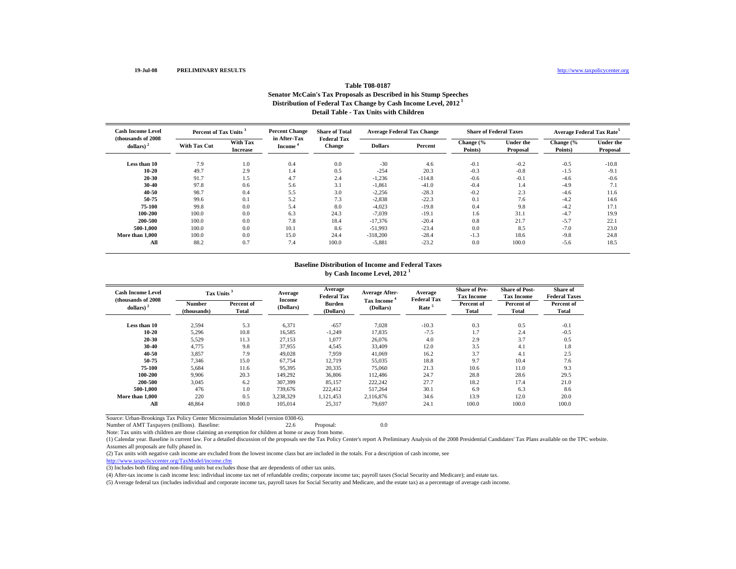## **Table T08-0187Senator McCain's Tax Proposals as Described in his Stump Speeches Distribution of Federal Tax Change by Cash Income Level, 2012 1 Detail Table - Tax Units with Children**

| <b>Cash Income Level</b><br>(thousands of 2008) | Percent of Tax Units <sup>3</sup> |                             | <b>Percent Change</b>               | <b>Share of Total</b>               | <b>Average Federal Tax Change</b> |          | <b>Share of Federal Taxes</b> |                              | Average Federal Tax Rate <sup>5</sup> |                       |
|-------------------------------------------------|-----------------------------------|-----------------------------|-------------------------------------|-------------------------------------|-----------------------------------|----------|-------------------------------|------------------------------|---------------------------------------|-----------------------|
| dollars) $2$                                    | <b>With Tax Cut</b>               | With Tax<br><b>Increase</b> | in After-Tax<br>Income <sup>*</sup> | <b>Federal Tax</b><br><b>Change</b> | <b>Dollars</b>                    | Percent  | Change (%<br>Points)          | <b>Under the</b><br>Proposal | Change (%<br>Points)                  | Under the<br>Proposal |
| Less than 10                                    | 7.9                               | 1.0                         | 0.4                                 | 0.0                                 | $-30$                             | 4.6      | $-0.1$                        | $-0.2$                       | $-0.5$                                | $-10.8$               |
| $10 - 20$                                       | 49.7                              | 2.9                         | 1.4                                 | 0.5                                 | $-254$                            | 20.3     | $-0.3$                        | $-0.8$                       | $-1.5$                                | $-9.1$                |
| 20-30                                           | 91.7                              | 1.5                         | 4.7                                 | 2.4                                 | $-1,236$                          | $-114.8$ | $-0.6$                        | $-0.1$                       | $-4.6$                                | $-0.6$                |
| 30-40                                           | 97.8                              | 0.6                         | 5.6                                 | 3.1                                 | $-1,861$                          | $-41.0$  | $-0.4$                        | 1.4                          | $-4.9$                                | 7.1                   |
| 40-50                                           | 98.7                              | 0.4                         | 5.5                                 | 3.0                                 | $-2,256$                          | $-28.3$  | $-0.2$                        | 2.3                          | $-4.6$                                | 11.6                  |
| 50-75                                           | 99.6                              | 0.1                         | 5.2                                 | 7.3                                 | $-2,838$                          | $-22.3$  | 0.1                           | 7.6                          | $-4.2$                                | 14.6                  |
| 75-100                                          | 99.8                              | 0.0                         | 5.4                                 | 8.0                                 | $-4,023$                          | $-19.8$  | 0.4                           | 9.8                          | $-4.2$                                | 17.1                  |
| 100-200                                         | 100.0                             | 0.0                         | 6.3                                 | 24.3                                | $-7,039$                          | $-19.1$  | 1.6                           | 31.1                         | $-4.7$                                | 19.9                  |
| 200-500                                         | 100.0                             | 0.0                         | 7.8                                 | 18.4                                | $-17,376$                         | $-20.4$  | 0.8                           | 21.7                         | $-5.7$                                | 22.1                  |
| 500-1.000                                       | 100.0                             | 0.0                         | 10.1                                | 8.6                                 | $-51,993$                         | $-23.4$  | 0.0                           | 8.5                          | $-7.0$                                | 23.0                  |
| More than 1,000                                 | 100.0                             | 0.0                         | 15.0                                | 24.4                                | $-318,200$                        | $-28.4$  | $-1.3$                        | 18.6                         | $-9.8$                                | 24.8                  |
| All                                             | 88.2                              | 0.7                         | 7.4                                 | 100.0                               | $-5,881$                          | $-23.2$  | 0.0                           | 100.0                        | $-5.6$                                | 18.5                  |

#### **Baseline Distribution of Income and Federal Taxes by Cash Income Level, 2012 <sup>1</sup>**

| <b>Cash Income Level</b><br>(thousands of 2008) | Tax Units <sup>3</sup> |                     | Average             | Average<br><b>Federal Tax</b> | <b>Average After-</b>                | Average<br><b>Federal Tax</b> | <b>Share of Pre-</b><br><b>Tax Income</b> | <b>Share of Post-</b><br><b>Tax Income</b> | Share of<br><b>Federal Taxes</b> |
|-------------------------------------------------|------------------------|---------------------|---------------------|-------------------------------|--------------------------------------|-------------------------------|-------------------------------------------|--------------------------------------------|----------------------------------|
| dollars) $2$                                    | Number<br>(thousands)  | Percent of<br>Total | Income<br>(Dollars) | Burden<br>(Dollars)           | Tax Income <sup>4</sup><br>(Dollars) | Rate <sup>5</sup>             | Percent of<br>Total                       | Percent of<br>Total                        | Percent of<br>Total              |
| Less than 10                                    | 2,594                  | 5.3                 | 6,371               | $-657$                        | 7,028                                | $-10.3$                       | 0.3                                       | 0.5                                        | $-0.1$                           |
| $10 - 20$                                       | 5,296                  | 10.8                | 16.585              | $-1,249$                      | 17.835                               | $-7.5$                        | 1.7                                       | 2.4                                        | $-0.5$                           |
| 20-30                                           | 5,529                  | 11.3                | 27,153              | 1,077                         | 26,076                               | 4.0                           | 2.9                                       | 3.7                                        | 0.5                              |
| 30-40                                           | 4.775                  | 9.8                 | 37.955              | 4,545                         | 33,409                               | 12.0                          | 3.5                                       | 4.1                                        | 1.8                              |
| 40-50                                           | 3,857                  | 7.9                 | 49.028              | 7.959                         | 41.069                               | 16.2                          | 3.7                                       | 4.1                                        | 2.5                              |
| 50-75                                           | 7,346                  | 15.0                | 67,754              | 12,719                        | 55,035                               | 18.8                          | 9.7                                       | 10.4                                       | 7.6                              |
| 75-100                                          | 5,684                  | 11.6                | 95,395              | 20,335                        | 75,060                               | 21.3                          | 10.6                                      | 11.0                                       | 9.3                              |
| 100-200                                         | 9.906                  | 20.3                | 149.292             | 36,806                        | 112.486                              | 24.7                          | 28.8                                      | 28.6                                       | 29.5                             |
| 200-500                                         | 3,045                  | 6.2                 | 307,399             | 85,157                        | 222,242                              | 27.7                          | 18.2                                      | 17.4                                       | 21.0                             |
| 500-1.000                                       | 476                    | 1.0                 | 739,676             | 222,412                       | 517.264                              | 30.1                          | 6.9                                       | 6.3                                        | 8.6                              |
| More than 1.000                                 | 220                    | 0.5                 | 3.238.329           | 1.121.453                     | 2.116.876                            | 34.6                          | 13.9                                      | 12.0                                       | 20.0                             |
| All                                             | 48.864                 | 100.0               | 105,014             | 25,317                        | 79.697                               | 24.1                          | 100.0                                     | 100.0                                      | 100.0                            |

Source: Urban-Brookings Tax Policy Center Microsimulation Model (version 0308-6).

Number of AMT Taxpayers (millions). Baseline: 22.6 Proposal: 0.0

Note: Tax units with children are those claiming an exemption for children at home or away from home.

(1) Calendar year. Baseline is current law. For a detailed discussion of the proposals see the Tax Policy Center's report A Preliminary Analysis of the 2008 Presidential Candidates' Tax Plans available on the TPC website. Assumes all proposals are fully phased in.

(2) Tax units with negative cash income are excluded from the lowest income class but are included in the totals. For a description of cash income, see

http://www.taxpolicycenter.org/TaxModel/income.cfm

(3) Includes both filing and non-filing units but excludes those that are dependents of other tax units.

(4) After-tax income is cash income less: individual income tax net of refundable credits; corporate income tax; payroll taxes (Social Security and Medicare); and estate tax.